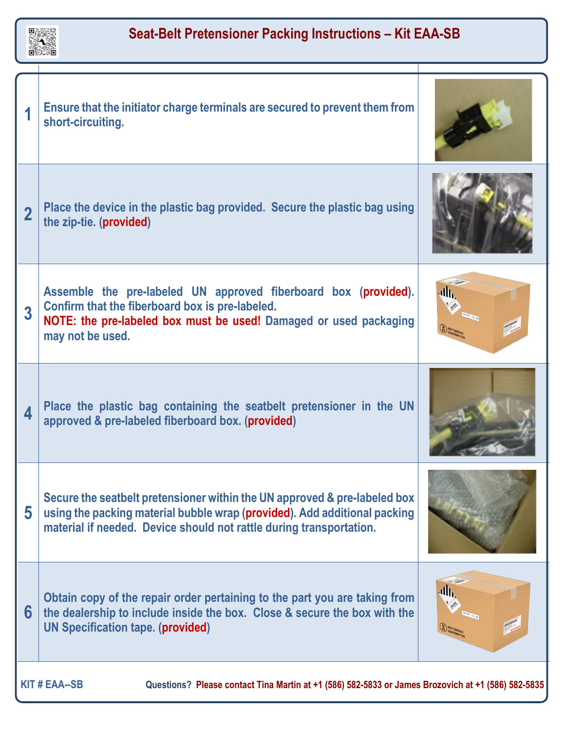

 $\mathbf{I}$ 

Τ

| 4                                                                                                                          | Ensure that the initiator charge terminals are secured to prevent them from<br>short-circuiting.                                                                                                                              |    |
|----------------------------------------------------------------------------------------------------------------------------|-------------------------------------------------------------------------------------------------------------------------------------------------------------------------------------------------------------------------------|----|
| $\overline{2}$                                                                                                             | Place the device in the plastic bag provided. Secure the plastic bag using<br>the zip-tie. (provided)                                                                                                                         |    |
| 3                                                                                                                          | Assemble the pre-labeled UN approved fiberboard box (provided).<br>Confirm that the fiberboard box is pre-labeled.<br>NOTE: the pre-labeled box must be used! Damaged or used packaging<br>may not be used.                   | dħ |
| 4                                                                                                                          | Place the plastic bag containing the seatbelt pretensioner in the UN<br>approved & pre-labeled fiberboard box. (provided)                                                                                                     |    |
| 5                                                                                                                          | Secure the seatbelt pretensioner within the UN approved & pre-labeled box<br>using the packing material bubble wrap (provided). Add additional packing<br>material if needed. Device should not rattle during transportation. |    |
| 6                                                                                                                          | Obtain copy of the repair order pertaining to the part you are taking from<br>the dealership to include inside the box. Close & secure the box with the<br><b>UN Specification tape. (provided)</b>                           | ₫Ւ |
| <b>KIT # EAA--SB</b><br>Questions? Please contact Tina Martin at +1 (586) 582-5833 or James Brozovich at +1 (586) 582-5835 |                                                                                                                                                                                                                               |    |